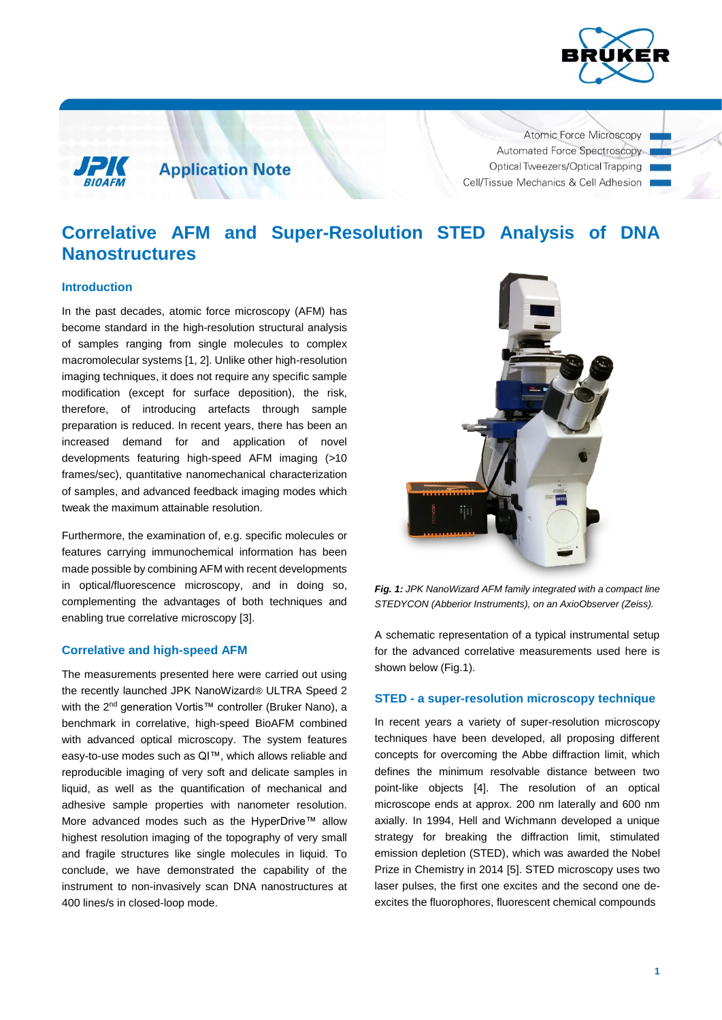

**Application Note** 

Atomic Force Microscopy Automated Force Spectroscopy Optical Tweezers/Optical Trapping Cell/Tissue Mechanics & Cell Adhesion

# **Correlative AFM and Super-Resolution STED Analysis of DNA Nanostructures**

## **Introduction**

In the past decades, atomic force microscopy (AFM) has become standard in the high-resolution structural analysis of samples ranging from single molecules to complex macromolecular systems [1, 2]. Unlike other high-resolution imaging techniques, it does not require any specific sample modification (except for surface deposition), the risk, therefore, of introducing artefacts through sample preparation is reduced. In recent years, there has been an increased demand for and application of novel developments featuring high-speed AFM imaging (>10 frames/sec), quantitative nanomechanical characterization of samples, and advanced feedback imaging modes which tweak the maximum attainable resolution.

Furthermore, the examination of, e.g. specific molecules or features carrying immunochemical information has been made possible by combining AFM with recent developments in optical/fluorescence microscopy, and in doing so, complementing the advantages of both techniques and enabling true correlative microscopy [3].

## **Correlative and high-speed AFM**

The measurements presented here were carried out using the recently launched JPK NanoWizard*®* ULTRA Speed 2 with the 2<sup>nd</sup> generation Vortis™ controller (Bruker Nano), a benchmark in correlative, high-speed BioAFM combined with advanced optical microscopy. The system features easy-to-use modes such as QI™, which allows reliable and reproducible imaging of very soft and delicate samples in liquid, as well as the quantification of mechanical and adhesive sample properties with nanometer resolution. More advanced modes such as the HyperDrive™ allow highest resolution imaging of the topography of very small and fragile structures like single molecules in liquid. To conclude, we have demonstrated the capability of the instrument to non-invasively scan DNA nanostructures at 400 lines/s in closed-loop mode.



*Fig. 1: JPK NanoWizard AFM family integrated with a compact line STEDYCON (Abberior Instruments), on an AxioObserver (Zeiss).*

A schematic representation of a typical instrumental setup for the advanced correlative measurements used here is shown below (Fig.1).

## **STED - a super-resolution microscopy technique**

In recent years a variety of super-resolution microscopy techniques have been developed, all proposing different concepts for overcoming the Abbe diffraction limit, which defines the minimum resolvable distance between two point-like objects [4]. The resolution of an optical microscope ends at approx. 200 nm laterally and 600 nm axially. In 1994, Hell and Wichmann developed a unique strategy for breaking the diffraction limit, stimulated emission depletion (STED), which was awarded the Nobel Prize in Chemistry in 2014 [5]. STED microscopy uses two laser pulses, the first one excites and the second one deexcites the fluorophores, fluorescent chemical compounds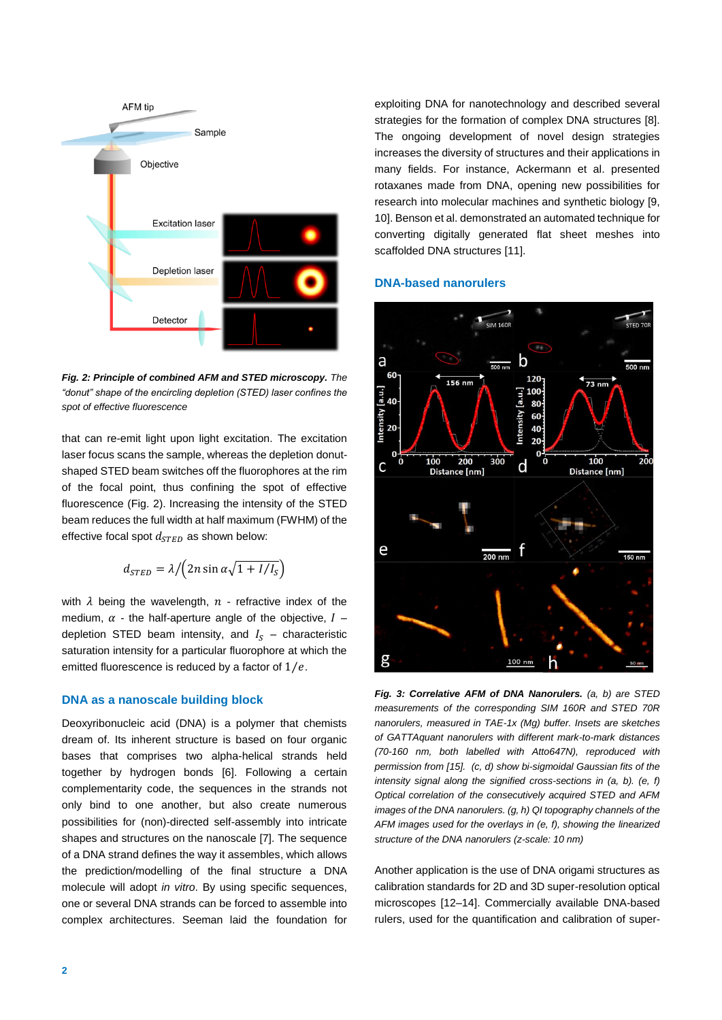

*Fig. 2: Principle of combined AFM and STED microscopy. The "donut" shape of the encircling depletion (STED) laser confines the spot of effective fluorescence*

that can re-emit light upon light excitation. The excitation laser focus scans the sample, whereas the depletion donutshaped STED beam switches off the fluorophores at the rim of the focal point, thus confining the spot of effective fluorescence (Fig. 2). Increasing the intensity of the STED beam reduces the full width at half maximum (FWHM) of the effective focal spot  $d_{STED}$  as shown below:

$$
d_{\text{STED}} = \lambda / \left( 2n \sin \alpha \sqrt{1 + I/I_S} \right)
$$

with  $\lambda$  being the wavelength,  $n$  - refractive index of the medium,  $\alpha$  - the half-aperture angle of the objective,  $I$ depletion STED beam intensity, and  $I_s$  – characteristic saturation intensity for a particular fluorophore at which the emitted fluorescence is reduced by a factor of  $1/e$ .

# **DNA as a nanoscale building block**

Deoxyribonucleic acid (DNA) is a polymer that chemists dream of. Its inherent structure is based on four organic bases that comprises two alpha-helical strands held together by hydrogen bonds [6]. Following a certain complementarity code, the sequences in the strands not only bind to one another, but also create numerous possibilities for (non)-directed self-assembly into intricate shapes and structures on the nanoscale [7]. The sequence of a DNA strand defines the way it assembles, which allows the prediction/modelling of the final structure a DNA molecule will adopt *in vitro*. By using specific sequences, one or several DNA strands can be forced to assemble into complex architectures. Seeman laid the foundation for exploiting DNA for nanotechnology and described several strategies for the formation of complex DNA structures [8]. The ongoing development of novel design strategies increases the diversity of structures and their applications in many fields. For instance, Ackermann et al. presented rotaxanes made from DNA, opening new possibilities for research into molecular machines and synthetic biology [9, 10]. Benson et al. demonstrated an automated technique for converting digitally generated flat sheet meshes into scaffolded DNA structures [11].

#### **DNA-based nanorulers**



*Fig. 3: Correlative AFM of DNA Nanorulers. (a, b) are STED measurements of the corresponding SIM 160R and STED 70R nanorulers, measured in TAE-1x (Mg) buffer. Insets are sketches of GATTAquant nanorulers with different mark-to-mark distances (70-160 nm, both labelled with Atto647N), reproduced with permission from [15]. (c, d) show bi-sigmoidal Gaussian fits of the intensity signal along the signified cross-sections in (a, b). (e, f) Optical correlation of the consecutively acquired STED and AFM images of the DNA nanorulers. (g, h) QI topography channels of the AFM images used for the overlays in (e, f), showing the linearized structure of the DNA nanorulers (z-scale: 10 nm)*

Another application is the use of DNA origami structures as calibration standards for 2D and 3D super-resolution optical microscopes [12–14]. Commercially available DNA-based rulers, used for the quantification and calibration of super-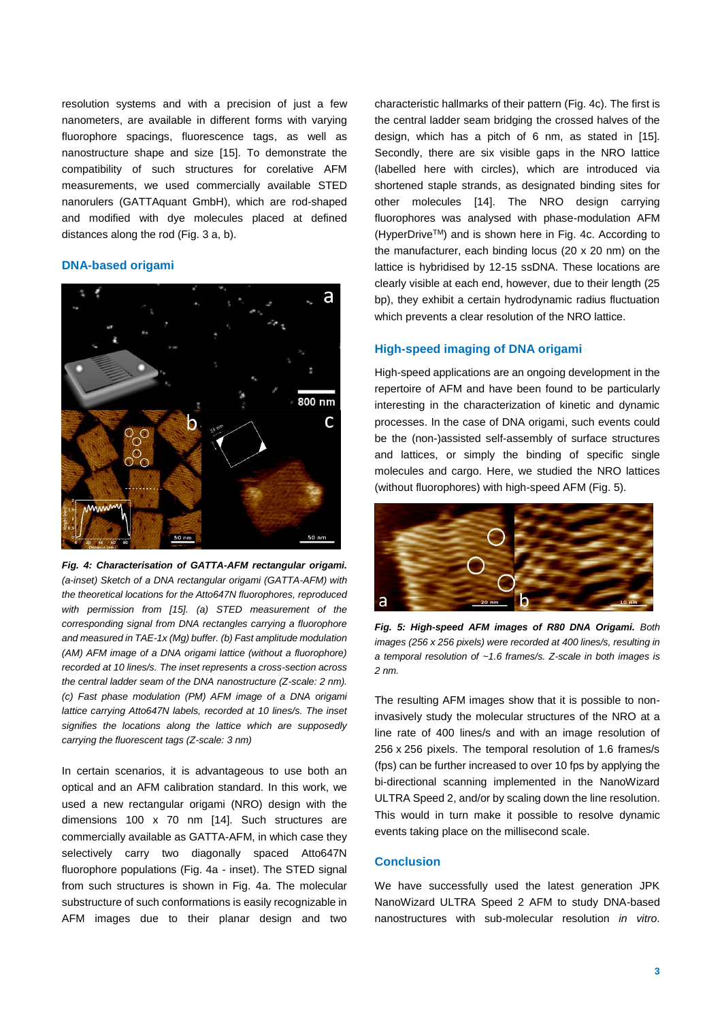resolution systems and with a precision of just a few nanometers, are available in different forms with varying fluorophore spacings, fluorescence tags, as well as nanostructure shape and size [15]. To demonstrate the compatibility of such structures for corelative AFM measurements, we used commercially available STED nanorulers (GATTAquant GmbH), which are rod-shaped and modified with dye molecules placed at defined distances along the rod (Fig. 3 a, b).

## **DNA-based origami**



*Fig. 4: Characterisation of GATTA-AFM rectangular origami. (a-inset) Sketch of а DNA rectangular origami (GATTA-AFM) with the theoretical locations for the Atto647N fluorophores, reproduced with permission from [15]. (a) STED measurement of the corresponding signal from DNA rectangles carrying a fluorophore and measured in TAE-1x (Mg) buffer. (b) Fast amplitude modulation (AM) AFM image of a DNA origami lattice (without a fluorophore) recorded at 10 lines/s. The inset represents a cross-section across the central ladder seam of the DNA nanostructure (Z-scale: 2 nm). (c) Fast phase modulation (PM) AFM image of a DNA origami lattice carrying Atto647N labels, recorded at 10 lines/s. The inset signifies the locations along the lattice which are supposedly carrying the fluorescent tags (Z-scale: 3 nm)*

In certain scenarios, it is advantageous to use both an optical and an AFM calibration standard. In this work, we used a new rectangular origami (NRO) design with the dimensions 100 x 70 nm [14]. Such structures are commercially available as GATTA-AFM, in which case they selectively carry two diagonally spaced Atto647N fluorophore populations (Fig. 4a - inset). The STED signal from such structures is shown in Fig. 4a. The molecular substructure of such conformations is easily recognizable in AFM images due to their planar design and two characteristic hallmarks of their pattern (Fig. 4c). The first is the central ladder seam bridging the crossed halves of the design, which has a pitch of 6 nm, as stated in [15]. Secondly, there are six visible gaps in the NRO lattice (labelled here with circles), which are introduced via shortened staple strands, as designated binding sites for other molecules [14]. The NRO design carrying fluorophores was analysed with phase-modulation AFM (HyperDriveTM) and is shown here in Fig. 4c. According to the manufacturer, each binding locus (20 x 20 nm) on the lattice is hybridised by 12-15 ssDNA. These locations are clearly visible at each end, however, due to their length (25 bp), they exhibit a certain hydrodynamic radius fluctuation which prevents a clear resolution of the NRO lattice.

#### **High-speed imaging of DNA origami**

High-speed applications are an ongoing development in the repertoire of AFM and have been found to be particularly interesting in the characterization of kinetic and dynamic processes. In the case of DNA origami, such events could be the (non-)assisted self-assembly of surface structures and lattices, or simply the binding of specific single molecules and cargo. Here, we studied the NRO lattices (without fluorophores) with high-speed AFM (Fig. 5).



*Fig. 5: High-speed AFM images of R80 DNA Origami. Both images (256 x 256 pixels) were recorded at 400 lines/s, resulting in a temporal resolution of ~1.6 frames/s. Z-scale in both images is 2 nm.*

The resulting AFM images show that it is possible to noninvasively study the molecular structures of the NRO at a line rate of 400 lines/s and with an image resolution of 256 x 256 pixels. The temporal resolution of 1.6 frames/s (fps) can be further increased to over 10 fps by applying the bi-directional scanning implemented in the NanoWizard ULTRA Speed 2, and/or by scaling down the line resolution. This would in turn make it possible to resolve dynamic events taking place on the millisecond scale.

#### **Conclusion**

We have successfully used the latest generation JPK NanoWizard ULTRA Speed 2 AFM to study DNA-based nanostructures with sub-molecular resolution *in vitro*.